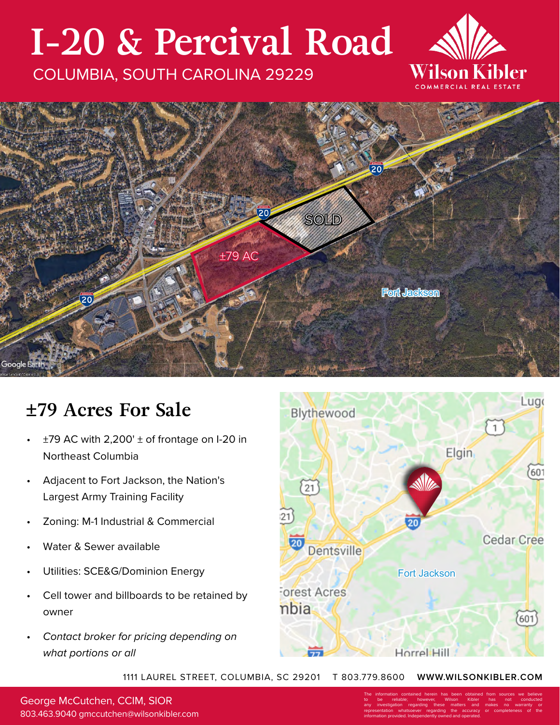# **I-20 & Percival Road**

#### COLUMBIA, SOUTH CAROLINA 29229





### **±79 Acres For Sale**

- $\pm$ 79 AC with 2,200'  $\pm$  of frontage on I-20 in Northeast Columbia
- Adjacent to Fort Jackson, the Nation's Largest Army Training Facility
- Zoning: M-1 Industrial & Commercial
- Water & Sewer available
- Utilities: SCE&G/Dominion Energy
- Cell tower and billboards to be retained by owner
- *Contact broker for pricing depending on what portions or all*



1111 LAUREL STREET, COLUMBIA, SC 29201 T 803.779.8600 **WWW.WILSONKIBLER.COM**

George McCutchen, CCIM, SIOR 803.463.9040 gmccutchen@wilsonkibler.com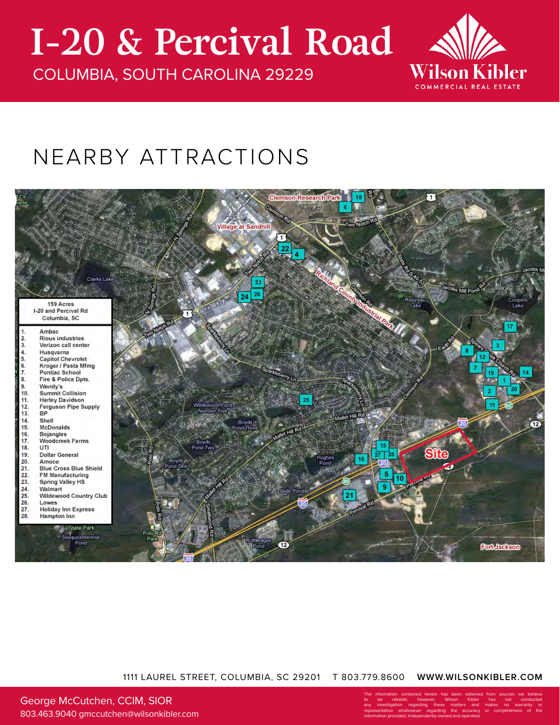## **I-20 & Percival Road**

COLUMBIA, SOUTH CAROLINA 29229



### NEARBY ATTRACTIONS



#### 1111 LAUREL STREET, COLUMBIA, SC 29201 T 803.779.8600 **WWW.WILSONKIBLER.COM**

George McCutchen, CCIM, SIOR 803.463.9040 gmccutchen@wilsonkibler.com The information contained herein has been obtained from sources we believe to be reliable; however, Wilson Kibler has not conducted any investigation regarding these matters and makes no warranty or representation whatsoever regarding the accuracy or completeness of the information provided. Independently owned and operated.